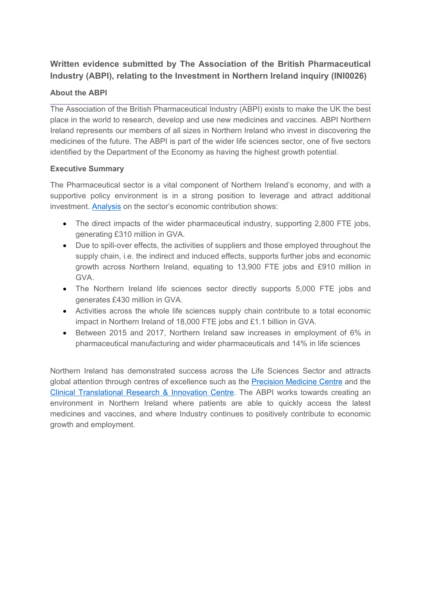# **Written evidence submitted by The Association of the British Pharmaceutical Industry (ABPI), relating to the Investment in Northern Ireland inquiry (INI0026)**

# **About the ABPI**

The Association of the British Pharmaceutical Industry (ABPI) exists to make the UK the best place in the world to research, develop and use new medicines and vaccines. ABPI Northern Ireland represents our members of all sizes in Northern Ireland who invest in discovering the medicines of the future. The ABPI is part of the wider life sciences sector, one of five sectors identified by the Department of the Economy as having the highest growth potential.

## **Executive Summary**

The Pharmaceutical sector is a vital component of Northern Ireland's economy, and with a supportive policy environment is in a strong position to leverage and attract additional investment. [Analysis](https://www.abpi.org.uk/publications/contribution-of-the-pharmaceutical-sector-to-northern-ireland-s-economy/#cb51aa7b) on the sector's economic contribution shows:

- The direct impacts of the wider pharmaceutical industry, supporting 2,800 FTE jobs, generating £310 million in GVA.
- Due to spill-over effects, the activities of suppliers and those employed throughout the supply chain, i.e. the indirect and induced effects, supports further jobs and economic growth across Northern Ireland, equating to 13,900 FTE jobs and £910 million in GVA.
- The Northern Ireland life sciences sector directly supports 5,000 FTE jobs and generates £430 million in GVA.
- Activities across the whole life sciences supply chain contribute to a total economic impact in Northern Ireland of 18,000 FTE jobs and £1.1 billion in GVA.
- Between 2015 and 2017, Northern Ireland saw increases in employment of 6% in pharmaceutical manufacturing and wider pharmaceuticals and 14% in life sciences

Northern Ireland has demonstrated success across the Life Sciences Sector and attracts global attention through centres of excellence such as the [Precision](https://www.qub.ac.uk/research-centres/PMC/) [Medicine](https://www.qub.ac.uk/research-centres/PMC/) [Centre](https://www.qub.ac.uk/research-centres/PMC/) and the [Clinical](https://c-tric.com/) [Translational](https://c-tric.com/) [Research](https://c-tric.com/) [&](https://c-tric.com/) [Innovation](https://c-tric.com/) [Centre.](https://c-tric.com/) The ABPI works towards creating an environment in Northern Ireland where patients are able to quickly access the latest medicines and vaccines, and where Industry continues to positively contribute to economic growth and employment.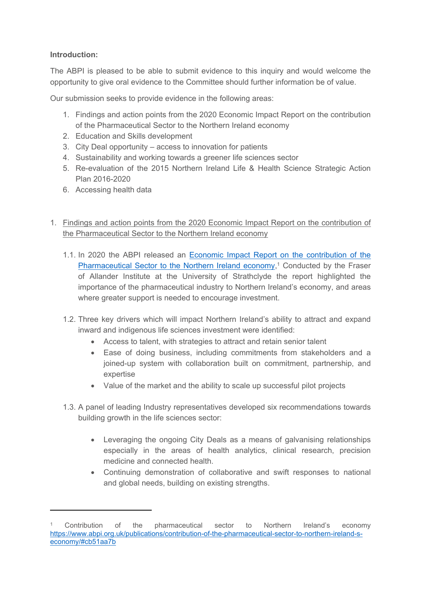# **Introduction:**

The ABPI is pleased to be able to submit evidence to this inquiry and would welcome the opportunity to give oral evidence to the Committee should further information be of value.

Our submission seeks to provide evidence in the following areas:

- 1. Findings and action points from the 2020 Economic Impact Report on the contribution of the Pharmaceutical Sector to the Northern Ireland economy
- 2. Education and Skills development
- 3. City Deal opportunity access to innovation for patients
- 4. Sustainability and working towards a greener life sciences sector
- 5. Re-evaluation of the 2015 Northern Ireland Life & Health Science Strategic Action Plan 2016-2020
- 6. Accessing health data
- 1. Findings and action points from the 2020 Economic Impact Report on the contribution of the Pharmaceutical Sector to the Northern Ireland economy
	- 1.1. In 2020 the ABPI released an [Economic](https://www.abpi.org.uk/publications/contribution-of-the-pharmaceutical-sector-to-northern-ireland-s-economy/#cb51aa7b) [Impact](https://www.abpi.org.uk/publications/contribution-of-the-pharmaceutical-sector-to-northern-ireland-s-economy/#cb51aa7b) [Report](https://www.abpi.org.uk/publications/contribution-of-the-pharmaceutical-sector-to-northern-ireland-s-economy/#cb51aa7b) [on](https://www.abpi.org.uk/publications/contribution-of-the-pharmaceutical-sector-to-northern-ireland-s-economy/#cb51aa7b) [the](https://www.abpi.org.uk/publications/contribution-of-the-pharmaceutical-sector-to-northern-ireland-s-economy/#cb51aa7b) [contribution](https://www.abpi.org.uk/publications/contribution-of-the-pharmaceutical-sector-to-northern-ireland-s-economy/#cb51aa7b) [of](https://www.abpi.org.uk/publications/contribution-of-the-pharmaceutical-sector-to-northern-ireland-s-economy/#cb51aa7b) [the](https://www.abpi.org.uk/publications/contribution-of-the-pharmaceutical-sector-to-northern-ireland-s-economy/#cb51aa7b) [Pharmaceutical](https://www.abpi.org.uk/publications/contribution-of-the-pharmaceutical-sector-to-northern-ireland-s-economy/#cb51aa7b) [Sector](https://www.abpi.org.uk/publications/contribution-of-the-pharmaceutical-sector-to-northern-ireland-s-economy/#cb51aa7b) [to](https://www.abpi.org.uk/publications/contribution-of-the-pharmaceutical-sector-to-northern-ireland-s-economy/#cb51aa7b) [the](https://www.abpi.org.uk/publications/contribution-of-the-pharmaceutical-sector-to-northern-ireland-s-economy/#cb51aa7b) [Northern](https://www.abpi.org.uk/publications/contribution-of-the-pharmaceutical-sector-to-northern-ireland-s-economy/#cb51aa7b) [Ireland](https://www.abpi.org.uk/publications/contribution-of-the-pharmaceutical-sector-to-northern-ireland-s-economy/#cb51aa7b) [economy,](https://www.abpi.org.uk/publications/contribution-of-the-pharmaceutical-sector-to-northern-ireland-s-economy/#cb51aa7b)<sup>1</sup> Conducted by the Fraser of Allander Institute at the University of Strathclyde the report highlighted the importance of the pharmaceutical industry to Northern Ireland's economy, and areas where greater support is needed to encourage investment.
	- 1.2. Three key drivers which will impact Northern Ireland's ability to attract and expand inward and indigenous life sciences investment were identified:
		- Access to talent, with strategies to attract and retain senior talent
		- Ease of doing business, including commitments from stakeholders and a joined-up system with collaboration built on commitment, partnership, and expertise
		- Value of the market and the ability to scale up successful pilot projects
	- 1.3. A panel of leading Industry representatives developed six recommendations towards building growth in the life sciences sector:
		- Leveraging the ongoing City Deals as a means of galvanising relationships especially in the areas of health analytics, clinical research, precision medicine and connected health.
		- Continuing demonstration of collaborative and swift responses to national and global needs, building on existing strengths.

<sup>1</sup> Contribution of the pharmaceutical sector to Northern Ireland's economy [https://www.abpi.org.uk/publications/contribution-of-the-pharmaceutical-sector-to-northern-ireland-s](https://www.abpi.org.uk/publications/contribution-of-the-pharmaceutical-sector-to-northern-ireland-s-economy/#cb51aa7b)[economy/#cb51aa7b](https://www.abpi.org.uk/publications/contribution-of-the-pharmaceutical-sector-to-northern-ireland-s-economy/#cb51aa7b)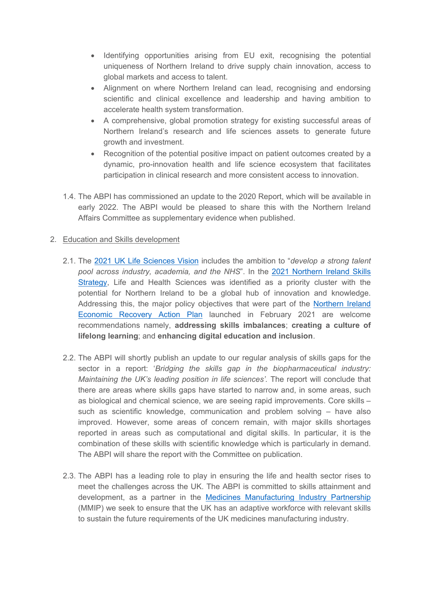- Identifying opportunities arising from EU exit, recognising the potential uniqueness of Northern Ireland to drive supply chain innovation, access to global markets and access to talent.
- Alignment on where Northern Ireland can lead, recognising and endorsing scientific and clinical excellence and leadership and having ambition to accelerate health system transformation.
- A comprehensive, global promotion strategy for existing successful areas of Northern Ireland's research and life sciences assets to generate future growth and investment.
- Recognition of the potential positive impact on patient outcomes created by a dynamic, pro-innovation health and life science ecosystem that facilitates participation in clinical research and more consistent access to innovation.
- 1.4. The ABPI has commissioned an update to the 2020 Report, which will be available in early 2022. The ABPI would be pleased to share this with the Northern Ireland Affairs Committee as supplementary evidence when published.

#### 2. Education and Skills development

- 2.1. The [2021](https://www.gov.uk/government/publications/life-sciences-vision) [UK](https://www.gov.uk/government/publications/life-sciences-vision) [Life](https://www.gov.uk/government/publications/life-sciences-vision) [Sciences](https://www.gov.uk/government/publications/life-sciences-vision) [Vision](https://www.gov.uk/government/publications/life-sciences-vision) includes the ambition to "*develop a strong talent pool across industry, academia, and the NHS*". In the [2021](https://www.economy-ni.gov.uk/sites/default/files/consultations/economy/skills-strategy-consultation-summary.pdf) [Northern](https://www.economy-ni.gov.uk/sites/default/files/consultations/economy/skills-strategy-consultation-summary.pdf) [Ireland](https://www.economy-ni.gov.uk/sites/default/files/consultations/economy/skills-strategy-consultation-summary.pdf) [Skills](https://www.economy-ni.gov.uk/sites/default/files/consultations/economy/skills-strategy-consultation-summary.pdf) [Strategy](https://www.economy-ni.gov.uk/sites/default/files/consultations/economy/skills-strategy-consultation-summary.pdf), Life and Health Sciences was identified as a priority cluster with the potential for Northern Ireland to be a global hub of innovation and knowledge. Addressing this, the major policy objectives that were part of the [Northern](https://www.economy-ni.gov.uk/publications/economic-recovery-action-plan) [Ireland](https://www.economy-ni.gov.uk/publications/economic-recovery-action-plan) [Economic](https://www.economy-ni.gov.uk/publications/economic-recovery-action-plan) [Recovery](https://www.economy-ni.gov.uk/publications/economic-recovery-action-plan) [Action](https://www.economy-ni.gov.uk/publications/economic-recovery-action-plan) [Plan](https://www.economy-ni.gov.uk/publications/economic-recovery-action-plan) launched in February 2021 are welcome recommendations namely, **addressing skills imbalances**; **creating a culture of lifelong learning**; and **enhancing digital education and inclusion**.
- 2.2. The ABPI will shortly publish an update to our regular analysis of skills gaps for the sector in a report: '*Bridging the skills gap in the biopharmaceutical industry: Maintaining the UK's leading position in life sciences'.* The report will conclude that there are areas where skills gaps have started to narrow and, in some areas, such as biological and chemical science, we are seeing rapid improvements. Core skills – such as scientific knowledge, communication and problem solving – have also improved. However, some areas of concern remain, with major skills shortages reported in areas such as computational and digital skills. In particular, it is the combination of these skills with scientific knowledge which is particularly in demand. The ABPI will share the report with the Committee on publication.
- 2.3. The ABPI has a leading role to play in ensuring the life and health sector rises to meet the challenges across the UK. The ABPI is committed to skills attainment and development, as a partner in the [Medicines](https://www.abpi.org.uk/r-d-manufacturing/medicines-manufacturing-industry-partnership-mmip/) [Manufacturing](https://www.abpi.org.uk/r-d-manufacturing/medicines-manufacturing-industry-partnership-mmip/) [Industry](https://www.abpi.org.uk/r-d-manufacturing/medicines-manufacturing-industry-partnership-mmip/) [Partnership](https://www.abpi.org.uk/r-d-manufacturing/medicines-manufacturing-industry-partnership-mmip/) (MMIP) we seek to ensure that the UK has an adaptive workforce with relevant skills to sustain the future requirements of the UK medicines manufacturing industry.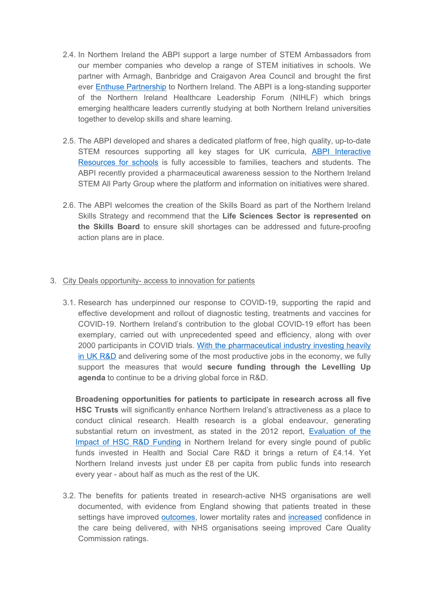- 2.4. In Northern Ireland the ABPI support a large number of STEM Ambassadors from our member companies who develop a range of STEM initiatives in schools. We partner with Armagh, Banbridge and Craigavon Area Council and brought the first ever [Enthuse](https://www.stem.org.uk/employers/enthuse-partnerships) [Partnership](https://www.stem.org.uk/employers/enthuse-partnerships) to Northern Ireland. The ABPI is a long-standing supporter of the Northern Ireland Healthcare Leadership Forum (NIHLF) which brings emerging healthcare leaders currently studying at both Northern Ireland universities together to develop skills and share learning.
- 2.5. The ABPI developed and shares a dedicated platform of free, high quality, up-to-date STEM resources supporting all key stages for UK curricula, [ABPI](https://www.abpischools.org.uk/) [Interactive](https://www.abpischools.org.uk/) [Resources](https://www.abpischools.org.uk/) [for](https://www.abpischools.org.uk/) [schools](https://www.abpischools.org.uk/) is fully accessible to families, teachers and students. The ABPI recently provided a pharmaceutical awareness session to the Northern Ireland STEM All Party Group where the platform and information on initiatives were shared.
- 2.6. The ABPI welcomes the creation of the Skills Board as part of the Northern Ireland Skills Strategy and recommend that the **Life Sciences Sector is represented on the Skills Board** to ensure skill shortages can be addressed and future-proofing action plans are in place.

#### 3. City Deals opportunity- access to innovation for patients

3.1. Research has underpinned our response to COVID-19, supporting the rapid and effective development and rollout of diagnostic testing, treatments and vaccines for COVID-19. Northern Ireland's contribution to the global COVID-19 effort has been exemplary, carried out with unprecedented speed and efficiency, along with over 2000 participants in COVID trials. [With](https://researchbriefings.files.parliament.uk/documents/SN04223/SN04223.pdf) [the](https://researchbriefings.files.parliament.uk/documents/SN04223/SN04223.pdf) [pharmaceutical](https://researchbriefings.files.parliament.uk/documents/SN04223/SN04223.pdf) [industry](https://researchbriefings.files.parliament.uk/documents/SN04223/SN04223.pdf) [investing](https://researchbriefings.files.parliament.uk/documents/SN04223/SN04223.pdf) [heavily](https://researchbriefings.files.parliament.uk/documents/SN04223/SN04223.pdf) [in](https://researchbriefings.files.parliament.uk/documents/SN04223/SN04223.pdf) [UK](https://researchbriefings.files.parliament.uk/documents/SN04223/SN04223.pdf) [R&D](https://researchbriefings.files.parliament.uk/documents/SN04223/SN04223.pdf) and delivering some of the most productive jobs in the economy, we fully support the measures that would **secure funding through the Levelling Up agenda** to continue to be a driving global force in R&D.

**Broadening opportunities for patients to participate in research across all five HSC Trusts** will significantly enhance Northern Ireland's attractiveness as a place to conduct clinical research. Health research is a global endeavour, generating substantial return on investment, as stated in the 2012 report, [Evaluation](https://research.hscni.net/sites/default/files/evaluation-hsc-rd-final-report-june-2012.pdf) [of](https://research.hscni.net/sites/default/files/evaluation-hsc-rd-final-report-june-2012.pdf) [the](https://research.hscni.net/sites/default/files/evaluation-hsc-rd-final-report-june-2012.pdf) [Impact](https://research.hscni.net/sites/default/files/evaluation-hsc-rd-final-report-june-2012.pdf) [of](https://research.hscni.net/sites/default/files/evaluation-hsc-rd-final-report-june-2012.pdf) [HSC](https://research.hscni.net/sites/default/files/evaluation-hsc-rd-final-report-june-2012.pdf) [R&D](https://research.hscni.net/sites/default/files/evaluation-hsc-rd-final-report-june-2012.pdf) [Funding](https://research.hscni.net/sites/default/files/evaluation-hsc-rd-final-report-june-2012.pdf) in Northern Ireland for every single pound of public funds invested in Health and Social Care R&D it brings a return of £4.14. Yet Northern Ireland invests just under £8 per capita from public funds into research every year - about half as much as the rest of the UK.

3.2. The benefits for patients treated in research-active NHS organisations are well documented, with evidence from England showing that patients treated in these settings have improved [outcomes,](https://pubmed.ncbi.nlm.nih.gov/27797935/) lower mortality rates and [increased](https://onlinelibrary.wiley.com/doi/10.1111/jep.13118) confidence in the care being delivered, with NHS organisations seeing improved Care Quality Commission ratings.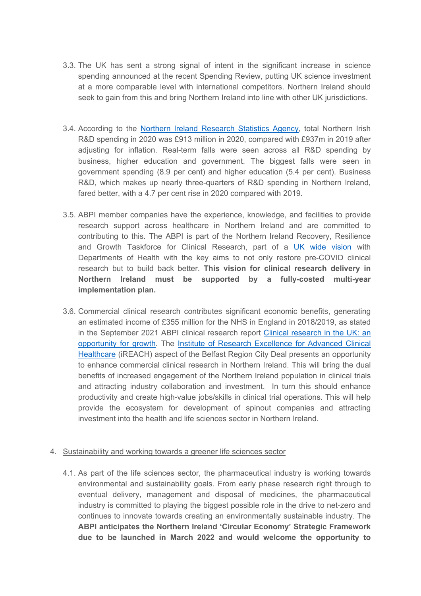- 3.3. The UK has sent a strong signal of intent in the significant increase in science spending announced at the recent Spending Review, putting UK science investment at a more comparable level with international competitors. Northern Ireland should seek to gain from this and bring Northern Ireland into line with other UK jurisdictions.
- 3.4. According to the [Northern](https://www.nisra.gov.uk/publications/northern-ireland-research-development-survey-2020) [Ireland](https://www.nisra.gov.uk/publications/northern-ireland-research-development-survey-2020) [Research](https://www.nisra.gov.uk/publications/northern-ireland-research-development-survey-2020) [Statistics](https://www.nisra.gov.uk/publications/northern-ireland-research-development-survey-2020) [Agency](https://www.nisra.gov.uk/publications/northern-ireland-research-development-survey-2020), total Northern Irish R&D spending in 2020 was £913 million in 2020, compared with £937m in 2019 after adjusting for inflation. Real-term falls were seen across all R&D spending by business, higher education and government. The biggest falls were seen in government spending (8.9 per cent) and higher education (5.4 per cent). Business R&D, which makes up nearly three-quarters of R&D spending in Northern Ireland, fared better, with a 4.7 per cent rise in 2020 compared with 2019.
- 3.5. ABPI member companies have the experience, knowledge, and facilities to provide research support across healthcare in Northern Ireland and are committed to contributing to this. The ABPI is part of the Northern Ireland Recovery, Resilience and Growth Taskforce for Clinical Research, part of a [UK](https://www.gov.uk/government/publications/the-future-of-uk-clinical-research-delivery) [wide](https://www.gov.uk/government/publications/the-future-of-uk-clinical-research-delivery) [vision](https://www.gov.uk/government/publications/the-future-of-uk-clinical-research-delivery) with Departments of Health with the key aims to not only restore pre-COVID clinical research but to build back better. **This vision for clinical research delivery in Northern Ireland must be supported by a fully-costed multi-year implementation plan.**
- 3.6. Commercial clinical research contributes significant economic benefits, generating an estimated income of £355 million for the NHS in England in 2018/2019, as stated in the September 2021 ABPI clinical research report [Clinical](https://www.abpi.org.uk/media/g0anpn5o/abpi_clinical-trials-report-2021.pdf) [research](https://www.abpi.org.uk/media/g0anpn5o/abpi_clinical-trials-report-2021.pdf) [in](https://www.abpi.org.uk/media/g0anpn5o/abpi_clinical-trials-report-2021.pdf) [the](https://www.abpi.org.uk/media/g0anpn5o/abpi_clinical-trials-report-2021.pdf) [UK:](https://www.abpi.org.uk/media/g0anpn5o/abpi_clinical-trials-report-2021.pdf) [an](https://www.abpi.org.uk/media/g0anpn5o/abpi_clinical-trials-report-2021.pdf) [opportunity](https://www.abpi.org.uk/media/g0anpn5o/abpi_clinical-trials-report-2021.pdf) [for](https://www.abpi.org.uk/media/g0anpn5o/abpi_clinical-trials-report-2021.pdf) [growth](https://www.abpi.org.uk/media/g0anpn5o/abpi_clinical-trials-report-2021.pdf). The [Institute](https://www.brcd-innovation.co.uk/projects/ireach) [of](https://www.brcd-innovation.co.uk/projects/ireach) [Research](https://www.brcd-innovation.co.uk/projects/ireach) [Excellence](https://www.brcd-innovation.co.uk/projects/ireach) [for](https://www.brcd-innovation.co.uk/projects/ireach) [Advanced](https://www.brcd-innovation.co.uk/projects/ireach) [Clinical](https://www.brcd-innovation.co.uk/projects/ireach) [Healthcare](https://www.brcd-innovation.co.uk/projects/ireach) (iREACH) aspect of the Belfast Region City Deal presents an opportunity to enhance commercial clinical research in Northern Ireland. This will bring the dual benefits of increased engagement of the Northern Ireland population in clinical trials and attracting industry collaboration and investment. In turn this should enhance productivity and create high-value jobs/skills in clinical trial operations. This will help provide the ecosystem for development of spinout companies and attracting investment into the health and life sciences sector in Northern Ireland.

#### 4. Sustainability and working towards a greener life sciences sector

4.1. As part of the life sciences sector, the pharmaceutical industry is working towards environmental and sustainability goals. From early phase research right through to eventual delivery, management and disposal of medicines, the pharmaceutical industry is committed to playing the biggest possible role in the drive to net-zero and continues to innovate towards creating an environmentally sustainable industry. The **ABPI anticipates the Northern Ireland 'Circular Economy' Strategic Framework due to be launched in March 2022 and would welcome the opportunity to**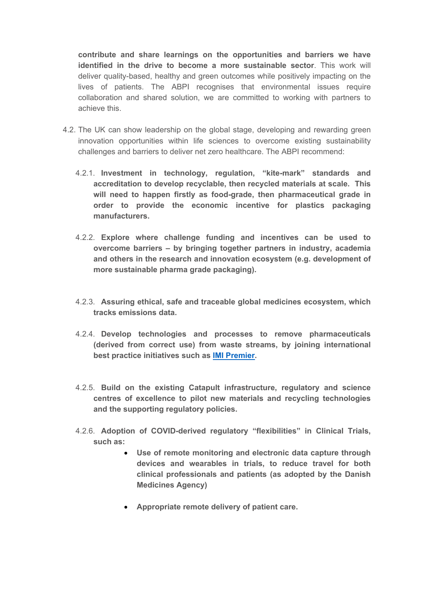**contribute and share learnings on the opportunities and barriers we have identified in the drive to become a more sustainable sector**. This work will deliver quality-based, healthy and green outcomes while positively impacting on the lives of patients. The ABPI recognises that environmental issues require collaboration and shared solution, we are committed to working with partners to achieve this.

- 4.2. The UK can show leadership on the global stage, developing and rewarding green innovation opportunities within life sciences to overcome existing sustainability challenges and barriers to deliver net zero healthcare. The ABPI recommend:
	- 4.2.1. **Investment in technology, regulation, "kite-mark" standards and accreditation to develop recyclable, then recycled materials at scale. This will need to happen firstly as food-grade, then pharmaceutical grade in order to provide the economic incentive for plastics packaging manufacturers.**
	- 4.2.2. **Explore where challenge funding and incentives can be used to overcome barriers – by bringing together partners in industry, academia and others in the research and innovation ecosystem (e.g. development of more sustainable pharma grade packaging).**
	- 4.2.3. **Assuring ethical, safe and traceable global medicines ecosystem, which tracks emissions data.**
	- 4.2.4. **Develop technologies and processes to remove pharmaceuticals (derived from correct use) from waste streams, by joining international best practice initiatives such as [IMI](https://imi-premier.eu/) [Premier](https://imi-premier.eu/).**
	- 4.2.5. **Build on the existing Catapult infrastructure, regulatory and science centres of excellence to pilot new materials and recycling technologies and the supporting regulatory policies.**
	- 4.2.6. **Adoption of COVID-derived regulatory "flexibilities" in Clinical Trials, such as:**
		- **Use of remote monitoring and electronic data capture through devices and wearables in trials, to reduce travel for both clinical professionals and patients (as adopted by the Danish Medicines Agency)**
		- **Appropriate remote delivery of patient care.**